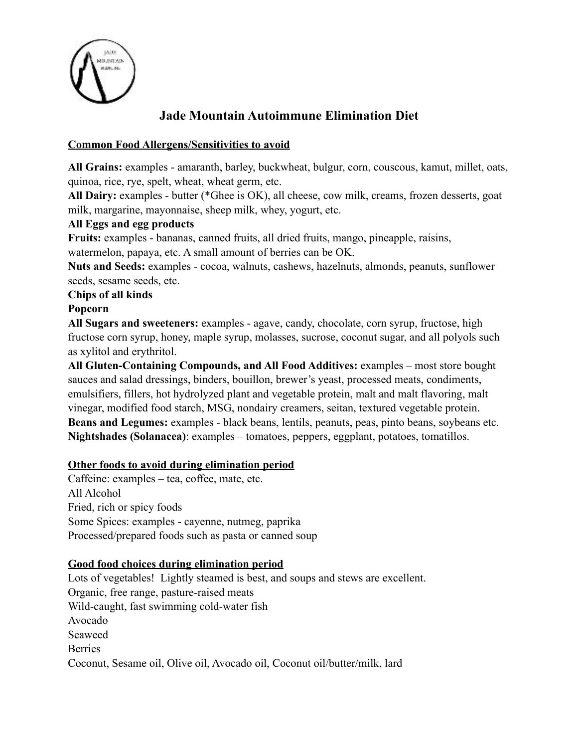

# **Jade Mountain Autoimmune Elimination Diet**

# **Common Food Allergens/Sensitivities to avoid**

**All Grains:** examples - amaranth, barley, buckwheat, bulgur, corn, couscous, kamut, millet, oats, quinoa, rice, rye, spelt, wheat, wheat germ, etc.

**All Dairy:** examples - butter (\*Ghee is OK), all cheese, cow milk, creams, frozen desserts, goat milk, margarine, mayonnaise, sheep milk, whey, yogurt, etc.

## **All Eggs and egg products**

**Fruits:** examples - bananas, canned fruits, all dried fruits, mango, pineapple, raisins, watermelon, papaya, etc. A small amount of berries can be OK.

**Nuts and Seeds:** examples - cocoa, walnuts, cashews, hazelnuts, almonds, peanuts, sunflower seeds, sesame seeds, etc.

#### **Chips of all kinds**

## **Popcorn**

**All Sugars and sweeteners:** examples - agave, candy, chocolate, corn syrup, fructose, high fructose corn syrup, honey, maple syrup, molasses, sucrose, coconut sugar, and all polyols such as xylitol and erythritol.

**All Gluten-Containing Compounds, and All Food Additives:** examples – most store bought sauces and salad dressings, binders, bouillon, brewer's yeast, processed meats, condiments, emulsifiers, fillers, hot hydrolyzed plant and vegetable protein, malt and malt flavoring, malt vinegar, modified food starch, MSG, nondairy creamers, seitan, textured vegetable protein. **Beans and Legumes:** examples - black beans, lentils, peanuts, peas, pinto beans, soybeans etc. **Nightshades (Solanacea)**: examples – tomatoes, peppers, eggplant, potatoes, tomatillos.

#### **Other foods to avoid during elimination period**

Caffeine: examples – tea, coffee, mate, etc. All Alcohol Fried, rich or spicy foods Some Spices: examples - cayenne, nutmeg, paprika Processed/prepared foods such as pasta or canned soup

# **Good food choices during elimination period**

Lots of vegetables! Lightly steamed is best, and soups and stews are excellent. Organic, free range, pasture-raised meats Wild-caught, fast swimming cold-water fish Avocado Seaweed Berries Coconut, Sesame oil, Olive oil, Avocado oil, Coconut oil/butter/milk, lard